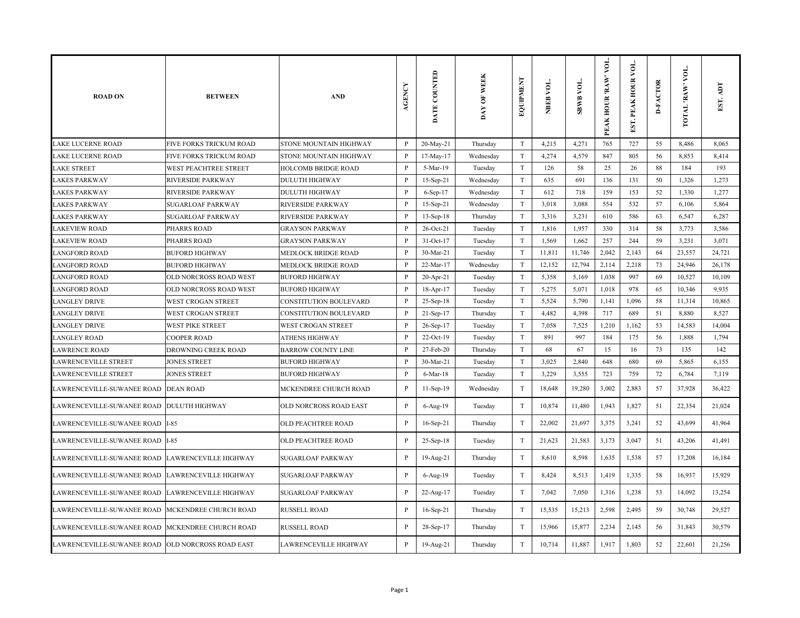| <b>ROAD ON</b>                                    | <b>BETWEEN</b>               | <b>AND</b>                    | <b>AGENCY</b>  | DATE COUNTED | DAY OF WEEK | EQUIPMENT                 | NBEB VOL. | <b>TOA RMB</b> | VOL.<br>PEAK HOUR 'RAW' | $\overline{\mathsf{S}}$<br>EST. PEAK HOUR | <b>D-FACTOR</b> | VOL.<br>TOTAL RAW | EST. ADT |
|---------------------------------------------------|------------------------------|-------------------------------|----------------|--------------|-------------|---------------------------|-----------|----------------|-------------------------|-------------------------------------------|-----------------|-------------------|----------|
| <b>LAKE LUCERNE ROAD</b>                          | FIVE FORKS TRICKUM ROAD      | <b>STONE MOUNTAIN HIGHWAY</b> | P              | 20-May-21    | Thursday    | T                         | 4,215     | 4,271          | 765                     | 727                                       | 55              | 8,486             | 8,065    |
| <b>LAKE LUCERNE ROAD</b>                          | FIVE FORKS TRICKUM ROAD      | <b>STONE MOUNTAIN HIGHWAY</b> | P              | 17-May-17    | Wednesday   | T                         | 4,274     | 4,579          | 847                     | 805                                       | 56              | 8,853             | 8,414    |
| <b>LAKE STREET</b>                                | WEST PEACHTREE STREET        | <b>HOLCOMB BRIDGE ROAD</b>    | P              | 5-Mar-19     | Tuesday     | T                         | 126       | 58             | 25                      | 26                                        | 88              | 184               | 193      |
| <b>LAKES PARKWAY</b>                              | RIVERSIDE PARKWAY            | <b>DULUTH HIGHWAY</b>         | P              | 15-Sep-21    | Wednesday   | T                         | 635       | 691            | 136                     | 131                                       | 50              | 1,326             | 1,273    |
| <b>LAKES PARKWAY</b>                              | RIVERSIDE PARKWAY            | <b>DULUTH HIGHWAY</b>         | P              | 6-Sep-17     | Wednesday   | $\ensuremath{\mathrm{T}}$ | 612       | 718            | 159                     | 153                                       | 52              | 1,330             | 1,277    |
| <b>LAKES PARKWAY</b>                              | <b>SUGARLOAF PARKWAY</b>     | <b>RIVERSIDE PARKWAY</b>      | $\mathbf{P}$   | 15-Sep-21    | Wednesday   | $\ensuremath{\mathrm{T}}$ | 3,018     | 3,088          | 554                     | 532                                       | 57              | 6,106             | 5,864    |
| <b>LAKES PARKWAY</b>                              | SUGARLOAF PARKWAY            | <b>RIVERSIDE PARKWAY</b>      | P              | 13-Sep-18    | Thursday    | $\ensuremath{\mathrm{T}}$ | 3,316     | 3,231          | 610                     | 586                                       | 63              | 6,547             | 6,287    |
| <b>LAKEVIEW ROAD</b>                              | PHARRS ROAD                  | <b>GRAYSON PARKWAY</b>        | $\mathbf{P}$   | 26-Oct-21    | Tuesday     | $\ensuremath{\mathrm{T}}$ | 1,816     | 1,957          | 330                     | 314                                       | 58              | 3,773             | 3,586    |
| <b>LAKEVIEW ROAD</b>                              | PHARRS ROAD                  | <b>GRAYSON PARKWAY</b>        | P              | $31-Oct-17$  | Tuesday     | T                         | 1,569     | 1,662          | 257                     | 244                                       | 59              | 3,231             | 3,071    |
| <b>LANGFORD ROAD</b>                              | <b>BUFORD HIGHWAY</b>        | <b>MEDLOCK BRIDGE ROAD</b>    | P              | 30-Mar-21    | Tuesday     | $\ensuremath{\mathrm{T}}$ | 11,811    | 11,746         | 2,042                   | 2,143                                     | 64              | 23,557            | 24,721   |
| <b>LANGFORD ROAD</b>                              | <b>BUFORD HIGHWAY</b>        | <b>MEDLOCK BRIDGE ROAD</b>    | P              | 22-Mar-17    | Wednesday   | $\ensuremath{\mathrm{T}}$ | 12,152    | 12,794         | 2,114                   | 2,218                                     | 73              | 24,946            | 26,178   |
| <b>LANGFORD ROAD</b>                              | OLD NORCROSS ROAD WEST       | <b>BUFORD HIGHWAY</b>         | $\mathbf{P}$   | 20-Apr-21    | Tuesday     | $\ensuremath{\mathrm{T}}$ | 5,358     | 5,169          | 1,038                   | 997                                       | 69              | 10,527            | 10,109   |
| <b>LANGFORD ROAD</b>                              | OLD NORCROSS ROAD WEST       | <b>BUFORD HIGHWAY</b>         | P              | 18-Apr-17    | Tuesday     | T                         | 5,275     | 5,071          | 1,018                   | 978                                       | 65              | 10,346            | 9,935    |
| <b>LANGLEY DRIVE</b>                              | WEST CROGAN STREET           | CONSTITUTION BOULEVARD        | $\mathbf{P}$   | 25-Sep-18    | Tuesday     | T                         | 5,524     | 5,790          | 1,141                   | 1,096                                     | 58              | 11,314            | 10,865   |
| <b>LANGLEY DRIVE</b>                              | WEST CROGAN STREET           | CONSTITUTION BOULEVARD        | P              | 21-Sep-17    | Thursday    | T                         | 4,482     | 4,398          | 717                     | 689                                       | 51              | 8,880             | 8,527    |
| <b>LANGLEY DRIVE</b>                              | WEST PIKE STREET             | WEST CROGAN STREET            | P              | 26-Sep-17    | Tuesday     | $\ensuremath{\mathrm{T}}$ | 7,058     | 7,525          | 1,210                   | 1,162                                     | 53              | 14,583            | 14,004   |
| <b>LANGLEY ROAD</b>                               | <b>COOPER ROAD</b>           | <b>ATHENS HIGHWAY</b>         | $\mathbf{P}$   | $22$ -Oct-19 | Tuesday     | $\rm T$                   | 891       | 997            | 184                     | 175                                       | 56              | 1,888             | 1,794    |
| <b>LAWRENCE ROAD</b>                              | DROWNING CREEK ROAD          | <b>BARROW COUNTY LINE</b>     | P              | 27-Feb-20    | Thursday    | T                         | 68        | 67             | 15                      | 16                                        | 73              | 135               | 142      |
| <b>LAWRENCEVILLE STREET</b>                       | <b>JONES STREET</b>          | <b>BUFORD HIGHWAY</b>         | P              | 30-Mar-21    | Tuesday     | T                         | 3,025     | 2,840          | 648                     | 680                                       | 69              | 5,865             | 6,155    |
| <b>LAWRENCEVILLE STREET</b>                       | JONES STREET                 | <b>BUFORD HIGHWAY</b>         | P              | 6-Mar-18     | Tuesday     | T                         | 3,229     | 3,555          | 723                     | 759                                       | 72              | 6,784             | 7,119    |
| LAWRENCEVILLE-SUWANEE ROAD                        | <b>DEAN ROAD</b>             | MCKENDREE CHURCH ROAD         | $\mathbf P$    | 11-Sep-19    | Wednesday   | $\ensuremath{\mathrm{T}}$ | 18,648    | 19,280         | 3,002                   | 2,883                                     | 57              | 37,928            | 36,422   |
| LAWRENCEVILLE-SUWANEE ROAD                        | <b>DULUTH HIGHWAY</b>        | OLD NORCROSS ROAD EAST        | P              | 6-Aug-19     | Tuesday     | T                         | 10,874    | 11,480         | 1,943                   | 1,827                                     | 51              | 22,354            | 21,024   |
| LAWRENCEVILLE-SUWANEE ROAD  I-85                  |                              | OLD PEACHTREE ROAD            | $\mathbf{P}$   | 16-Sep-21    | Thursday    | $\ensuremath{\mathrm{T}}$ | 22,002    | 21,697         | 3,375                   | 3,241                                     | 52              | 43,699            | 41,964   |
| LAWRENCEVILLE-SUWANEE ROAD  I-85                  |                              | <b>OLD PEACHTREE ROAD</b>     | $\, {\bf P}$   | 25-Sep-18    | Tuesday     | $\ensuremath{\mathrm{T}}$ | 21,623    | 21,583         | 3,173                   | 3,047                                     | 51              | 43,206            | 41,491   |
| LAWRENCEVILLE-SUWANEE ROAD                        | LAWRENCEVILLE HIGHWAY        | <b>SUGARLOAF PARKWAY</b>      | $\mathbf{P}$   | 19-Aug-21    | Thursday    | T                         | 8,610     | 8,598          | 1,635                   | 1,538                                     | 57              | 17,208            | 16,184   |
| LAWRENCEVILLE-SUWANEE ROAD                        | <b>LAWRENCEVILLE HIGHWAY</b> | <b>SUGARLOAF PARKWAY</b>      | $\mathbf{P}$   | 6-Aug-19     | Tuesday     | T                         | 8,424     | 8,513          | 1,419                   | 1,335                                     | 58              | 16,937            | 15,929   |
| LAWRENCEVILLE-SUWANEE ROAD                        | LAWRENCEVILLE HIGHWAY        | <b>SUGARLOAF PARKWAY</b>      | $\overline{P}$ | 22-Aug-17    | Tuesday     | T                         | 7,042     | 7,050          | 1,316                   | 1,238                                     | 53              | 14,092            | 13,254   |
| LAWRENCEVILLE-SUWANEE ROAD                        | MCKENDREE CHURCH ROAD        | <b>RUSSELL ROAD</b>           | $\mathbf{P}$   | 16-Sep-21    | Thursday    | T                         | 15,535    | 15,213         | 2,598                   | 2,495                                     | 59              | 30,748            | 29,527   |
| LAWRENCEVILLE-SUWANEE ROAD                        | MCKENDREE CHURCH ROAD        | <b>RUSSELL ROAD</b>           | $\mathbf{P}$   | 28-Sep-17    | Thursday    | $\rm T$                   | 15,966    | 15,877         | 2,234                   | 2,145                                     | 56              | 31,843            | 30,579   |
| LAWRENCEVILLE-SUWANEE ROAD OLD NORCROSS ROAD EAST |                              | LAWRENCEVILLE HIGHWAY         | $\, {\bf P}$   | 19-Aug-21    | Thursday    | $\mathbf T$               | 10,714    | 11,887         | 1,917                   | 1,803                                     | 52              | 22,601            | 21,256   |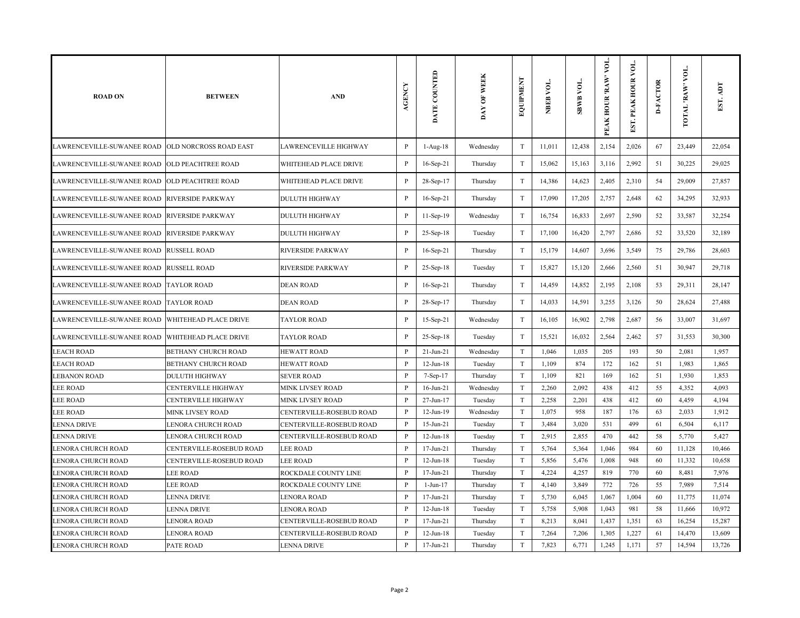| <b>ROAD ON</b>                                | <b>BETWEEN</b>            | <b>AND</b>               | <b>AGENCY</b> | DATE COUNTED    | DAY OF WEEK | EQUIPMENT                 | NBEB VOL. | <b>SBWB VOL.</b> | VOL.<br>PEAK HOUR 'RAW' | yо.<br>EST. PEAK HOUR | <b>D-FACTOR</b> | VOL.<br>TOTAL 'RAW | EST. ADT |
|-----------------------------------------------|---------------------------|--------------------------|---------------|-----------------|-------------|---------------------------|-----------|------------------|-------------------------|-----------------------|-----------------|--------------------|----------|
| LAWRENCEVILLE-SUWANEE ROAD                    | OLD NORCROSS ROAD EAST    | LAWRENCEVILLE HIGHWAY    | $\, {\bf P}$  | 1-Aug-18        | Wednesday   | $\mathbf T$               | 11,011    | 12,438           | 2,154                   | 2,026                 | 67              | 23,449             | 22,054   |
| LAWRENCEVILLE-SUWANEE ROAD                    | <b>OLD PEACHTREE ROAD</b> | WHITEHEAD PLACE DRIVE    | $\, {\bf P}$  | $16$ -Sep-21    | Thursday    | T                         | 15,062    | 15,163           | 3,116                   | 2,992                 | 51              | 30,225             | 29,025   |
| LAWRENCEVILLE-SUWANEE ROAD OLD PEACHTREE ROAD |                           | WHITEHEAD PLACE DRIVE    | $\mathbf{P}$  | 28-Sep-17       | Thursday    | T                         | 14,386    | 14,623           | 2,405                   | 2,310                 | 54              | 29,009             | 27,857   |
| LAWRENCEVILLE-SUWANEE ROAD                    | <b>RIVERSIDE PARKWAY</b>  | <b>DULUTH HIGHWAY</b>    | $\mathbf{P}$  | 16-Sep-21       | Thursday    | T                         | 17,090    | 17,205           | 2,757                   | 2,648                 | 62              | 34,295             | 32,933   |
| LAWRENCEVILLE-SUWANEE ROAD                    | <b>RIVERSIDE PARKWAY</b>  | <b>DULUTH HIGHWAY</b>    | $\, {\bf P}$  | 11-Sep-19       | Wednesday   | T                         | 16,754    | 16,833           | 2,697                   | 2,590                 | 52              | 33,587             | 32,254   |
| LAWRENCEVILLE-SUWANEE ROAD RIVERSIDE PARKWAY  |                           | <b>DULUTH HIGHWAY</b>    | $\mathbf{P}$  | 25-Sep-18       | Tuesday     | T                         | 17,100    | 16,420           | 2,797                   | 2,686                 | 52              | 33,520             | 32,189   |
| LAWRENCEVILLE-SUWANEE ROAD                    | <b>RUSSELL ROAD</b>       | <b>RIVERSIDE PARKWAY</b> | $\mathbf{P}$  | 16-Sep-21       | Thursday    | T                         | 15,179    | 14,607           | 3,696                   | 3,549                 | 75              | 29,786             | 28,603   |
| LAWRENCEVILLE-SUWANEE ROAD                    | <b>RUSSELL ROAD</b>       | <b>RIVERSIDE PARKWAY</b> | $\mathbf P$   | 25-Sep-18       | Tuesday     | $\ensuremath{\mathrm{T}}$ | 15,827    | 15,120           | 2,666                   | 2,560                 | 51              | 30,947             | 29,718   |
| LAWRENCEVILLE-SUWANEE ROAD                    | <b>TAYLOR ROAD</b>        | <b>DEAN ROAD</b>         | P             | 16-Sep-21       | Thursday    | T                         | 14,459    | 14,852           | 2,195                   | 2,108                 | 53              | 29,311             | 28,147   |
| LAWRENCEVILLE-SUWANEE ROAD                    | <b>TAYLOR ROAD</b>        | <b>DEAN ROAD</b>         | $\mathbf{P}$  | 28-Sep-17       | Thursday    | T                         | 14,033    | 14,591           | 3,255                   | 3,126                 | 50              | 28,624             | 27,488   |
| LAWRENCEVILLE-SUWANEE ROAD                    | WHITEHEAD PLACE DRIVE     | <b>TAYLOR ROAD</b>       | $\, {\bf P}$  | 15-Sep-21       | Wednesday   | $\rm T$                   | 16,105    | 16,902           | 2,798                   | 2,687                 | 56              | 33,007             | 31,697   |
| LAWRENCEVILLE-SUWANEE ROAD                    | WHITEHEAD PLACE DRIVE     | <b>TAYLOR ROAD</b>       | $\mathbf{P}$  | 25-Sep-18       | Tuesday     | $\ensuremath{\mathrm{T}}$ | 15,521    | 16,032           | 2,564                   | 2,462                 | 57              | 31,553             | 30,300   |
| <b>LEACH ROAD</b>                             | BETHANY CHURCH ROAD       | <b>HEWATT ROAD</b>       | $\mathbf{P}$  | $21$ -Jun- $21$ | Wednesday   | T                         | 1,046     | 1,035            | 205                     | 193                   | 50              | 2,081              | 1,957    |
| <b>LEACH ROAD</b>                             | BETHANY CHURCH ROAD       | <b>HEWATT ROAD</b>       | $\mathbf{P}$  | $12$ -Jun- $18$ | Tuesday     | T                         | 1,109     | 874              | 172                     | 162                   | 51              | 1,983              | 1,865    |
| <b>LEBANON ROAD</b>                           | <b>DULUTH HIGHWAY</b>     | <b>SEVER ROAD</b>        | P             | 7-Sep-17        | Thursday    | T                         | 1,109     | 821              | 169                     | 162                   | 51              | 1,930              | 1,853    |
| <b>LEE ROAD</b>                               | CENTERVILLE HIGHWAY       | MINK LIVSEY ROAD         | P             | $16$ -Jun-21    | Wednesday   | T                         | 2,260     | 2,092            | 438                     | 412                   | 55              | 4,352              | 4,093    |
| <b>LEE ROAD</b>                               | CENTERVILLE HIGHWAY       | <b>MINK LIVSEY ROAD</b>  | P             | 27-Jun-17       | Tuesday     | T                         | 2,258     | 2,201            | 438                     | 412                   | 60              | 4,459              | 4,194    |
| <b>LEE ROAD</b>                               | <b>MINK LIVSEY ROAD</b>   | CENTERVILLE-ROSEBUD ROAD | P             | 12-Jun-19       | Wednesday   | T                         | 1,075     | 958              | 187                     | 176                   | 63              | 2,033              | 1,912    |
| <b>LENNA DRIVE</b>                            | LENORA CHURCH ROAD        | CENTERVILLE-ROSEBUD ROAD | $\mathbf{P}$  | $15$ -Jun-21    | Tuesday     | T                         | 3,484     | 3,020            | 531                     | 499                   | 61              | 6,504              | 6,117    |
| LENNA DRIVE                                   | LENORA CHURCH ROAD        | CENTERVILLE-ROSEBUD ROAD | P             | $12$ -Jun- $18$ | Tuesday     | T                         | 2,915     | 2,855            | 470                     | 442                   | 58              | 5,770              | 5,427    |
| LENORA CHURCH ROAD                            | CENTERVILLE-ROSEBUD ROAD  | <b>LEE ROAD</b>          | P             | 17-Jun-21       | Thursday    | T                         | 5,764     | 5,364            | 1,046                   | 984                   | 60              | 11,128             | 10,466   |
| <b>LENORA CHURCH ROAD</b>                     | CENTERVILLE-ROSEBUD ROAD  | <b>LEE ROAD</b>          | $\mathbf{P}$  | $12$ -Jun- $18$ | Tuesday     | T                         | 5,856     | 5,476            | 1,008                   | 948                   | 60              | 11,332             | 10,658   |
| <b>LENORA CHURCH ROAD</b>                     | <b>LEE ROAD</b>           | ROCKDALE COUNTY LINE     | P             | $17 - Jun-21$   | Thursday    | T                         | 4,224     | 4,257            | 819                     | 770                   | 60              | 8,481              | 7,976    |
| <b>LENORA CHURCH ROAD</b>                     | <b>LEE ROAD</b>           | ROCKDALE COUNTY LINE     | $\mathbf{P}$  | $1-Jun-17$      | Thursday    | T                         | 4,140     | 3,849            | 772                     | 726                   | 55              | 7,989              | 7,514    |
| <b>LENORA CHURCH ROAD</b>                     | <b>LENNA DRIVE</b>        | <b>LENORA ROAD</b>       | $\mathbf{P}$  | $17 - Jun-21$   | Thursday    | T                         | 5,730     | 6,045            | 1,067                   | 1,004                 | 60              | 11,775             | 11,074   |
| <b>LENORA CHURCH ROAD</b>                     | LENNA DRIVE               | <b>LENORA ROAD</b>       | P             | $12$ -Jun- $18$ | Tuesday     | T                         | 5,758     | 5,908            | 1,043                   | 981                   | 58              | 11,666             | 10,972   |
| LENORA CHURCH ROAD                            | LENORA ROAD               | CENTERVILLE-ROSEBUD ROAD | P             | $17 - Jun-21$   | Thursday    | T                         | 8,213     | 8,041            | 1,437                   | 1,351                 | 63              | 16,254             | 15,287   |
| LENORA CHURCH ROAD                            | LENORA ROAD               | CENTERVILLE-ROSEBUD ROAD | P             | $12$ -Jun- $18$ | Tuesday     | T                         | 7,264     | 7,206            | 1,305                   | 1,227                 | 61              | 14,470             | 13,609   |
| <b>LENORA CHURCH ROAD</b>                     | PATE ROAD                 | <b>LENNA DRIVE</b>       | $\mathbf{P}$  | $17 - Jun-21$   | Thursday    | T                         | 7,823     | 6,771            | 1,245                   | 1,171                 | 57              | 14,594             | 13,726   |